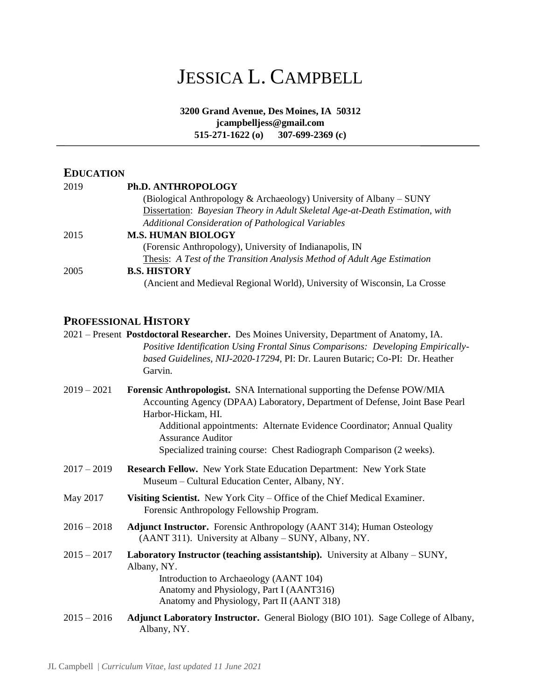# JESSICA L. CAMPBELL

**3200 Grand Avenue, Des Moines, IA 50312 jcampbelljess@gmail.com 515-271-1622 (o) 307-699-2369 (c)**

j

# **EDUCATION**

| 2019 | Ph.D. ANTHROPOLOGY                                                            |
|------|-------------------------------------------------------------------------------|
|      | (Biological Anthropology & Archaeology) University of Albany $-SUNY$          |
|      | Dissertation: Bayesian Theory in Adult Skeletal Age-at-Death Estimation, with |
|      | Additional Consideration of Pathological Variables                            |
| 2015 | <b>M.S. HUMAN BIOLOGY</b>                                                     |
|      | (Forensic Anthropology), University of Indianapolis, IN                       |
|      | Thesis: A Test of the Transition Analysis Method of Adult Age Estimation      |
| 2005 | <b>B.S. HISTORY</b>                                                           |
|      | (Ancient and Medieval Regional World), University of Wisconsin, La Crosse     |

# **PROFESSIONAL HISTORY**

|               | 2021 – Present Postdoctoral Researcher. Des Moines University, Department of Anatomy, IA.<br>Positive Identification Using Frontal Sinus Comparisons: Developing Empirically-<br>based Guidelines, NIJ-2020-17294, PI: Dr. Lauren Butaric; Co-PI: Dr. Heather<br>Garvin.                                                                                      |
|---------------|---------------------------------------------------------------------------------------------------------------------------------------------------------------------------------------------------------------------------------------------------------------------------------------------------------------------------------------------------------------|
| $2019 - 2021$ | Forensic Anthropologist. SNA International supporting the Defense POW/MIA<br>Accounting Agency (DPAA) Laboratory, Department of Defense, Joint Base Pearl<br>Harbor-Hickam, HI.<br>Additional appointments: Alternate Evidence Coordinator; Annual Quality<br><b>Assurance Auditor</b><br>Specialized training course: Chest Radiograph Comparison (2 weeks). |
| $2017 - 2019$ | Research Fellow. New York State Education Department: New York State<br>Museum – Cultural Education Center, Albany, NY.                                                                                                                                                                                                                                       |
| May 2017      | Visiting Scientist. New York City – Office of the Chief Medical Examiner.<br>Forensic Anthropology Fellowship Program.                                                                                                                                                                                                                                        |
| $2016 - 2018$ | Adjunct Instructor. Forensic Anthropology (AANT 314); Human Osteology<br>(AANT 311). University at Albany - SUNY, Albany, NY.                                                                                                                                                                                                                                 |
| $2015 - 2017$ | <b>Laboratory Instructor (teaching assistantship).</b> University at Albany – SUNY,<br>Albany, NY.<br>Introduction to Archaeology (AANT 104)<br>Anatomy and Physiology, Part I (AANT316)<br>Anatomy and Physiology, Part II (AANT 318)                                                                                                                        |
| $2015 - 2016$ | <b>Adjunct Laboratory Instructor.</b> General Biology (BIO 101). Sage College of Albany,<br>Albany, NY.                                                                                                                                                                                                                                                       |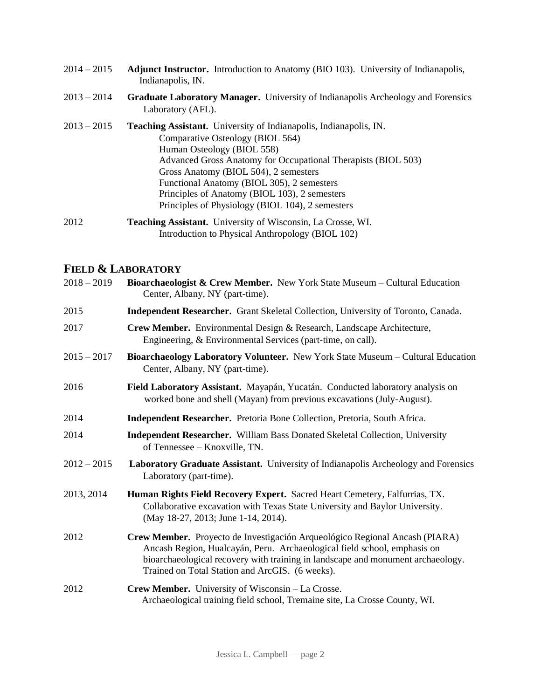- 2014 2015 **Adjunct Instructor.** Introduction to Anatomy (BIO 103). University of Indianapolis, Indianapolis, IN.
- 2013 2014 **Graduate Laboratory Manager.** University of Indianapolis Archeology and Forensics Laboratory (AFL).
- 2013 2015 **Teaching Assistant.** University of Indianapolis, Indianapolis, IN. Comparative Osteology (BIOL 564) Human Osteology (BIOL 558) Advanced Gross Anatomy for Occupational Therapists (BIOL 503) Gross Anatomy (BIOL 504), 2 semesters Functional Anatomy (BIOL 305), 2 semesters Principles of Anatomy (BIOL 103), 2 semesters Principles of Physiology (BIOL 104), 2 semesters
- 2012 **Teaching Assistant.** University of Wisconsin, La Crosse, WI. Introduction to Physical Anthropology (BIOL 102)

## **FIELD & LABORATORY**

| $2018 - 2019$ | Bioarchaeologist & Crew Member. New York State Museum – Cultural Education<br>Center, Albany, NY (part-time).                                                                                                                                                                                 |
|---------------|-----------------------------------------------------------------------------------------------------------------------------------------------------------------------------------------------------------------------------------------------------------------------------------------------|
| 2015          | <b>Independent Researcher.</b> Grant Skeletal Collection, University of Toronto, Canada.                                                                                                                                                                                                      |
| 2017          | Crew Member. Environmental Design & Research, Landscape Architecture,<br>Engineering, & Environmental Services (part-time, on call).                                                                                                                                                          |
| $2015 - 2017$ | Bioarchaeology Laboratory Volunteer. New York State Museum - Cultural Education<br>Center, Albany, NY (part-time).                                                                                                                                                                            |
| 2016          | Field Laboratory Assistant. Mayapán, Yucatán. Conducted laboratory analysis on<br>worked bone and shell (Mayan) from previous excavations (July-August).                                                                                                                                      |
| 2014          | Independent Researcher. Pretoria Bone Collection, Pretoria, South Africa.                                                                                                                                                                                                                     |
| 2014          | <b>Independent Researcher.</b> William Bass Donated Skeletal Collection, University<br>of Tennessee – Knoxville, TN.                                                                                                                                                                          |
| $2012 - 2015$ | Laboratory Graduate Assistant. University of Indianapolis Archeology and Forensics<br>Laboratory (part-time).                                                                                                                                                                                 |
| 2013, 2014    | Human Rights Field Recovery Expert. Sacred Heart Cemetery, Falfurrias, TX.<br>Collaborative excavation with Texas State University and Baylor University.<br>(May 18-27, 2013; June 1-14, 2014).                                                                                              |
| 2012          | Crew Member. Proyecto de Investigación Arqueológico Regional Ancash (PIARA)<br>Ancash Region, Hualcayán, Peru. Archaeological field school, emphasis on<br>bioarchaeological recovery with training in landscape and monument archaeology.<br>Trained on Total Station and ArcGIS. (6 weeks). |
| 2012          | Crew Member. University of Wisconsin - La Crosse.<br>Archaeological training field school, Tremaine site, La Crosse County, WI.                                                                                                                                                               |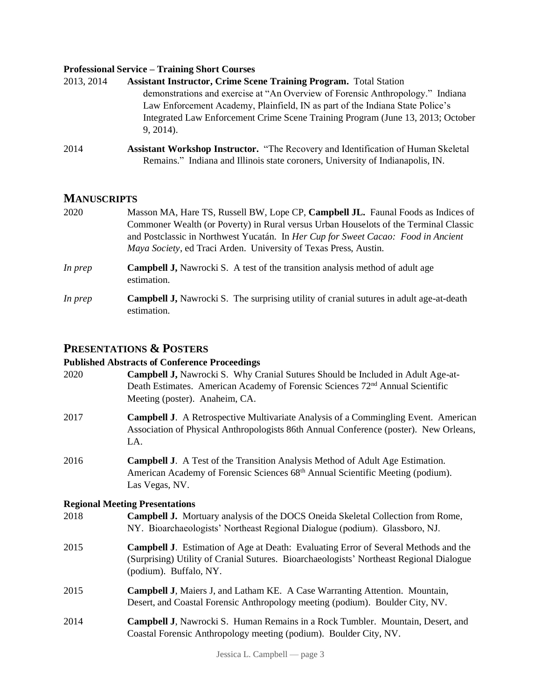#### **Professional Service – Training Short Courses**

| 2013, 2014 | <b>Assistant Instructor, Crime Scene Training Program.</b> Total Station                        |
|------------|-------------------------------------------------------------------------------------------------|
|            | demonstrations and exercise at "An Overview of Forensic Anthropology." Indiana                  |
|            | Law Enforcement Academy, Plainfield, IN as part of the Indiana State Police's                   |
|            | Integrated Law Enforcement Crime Scene Training Program (June 13, 2013; October<br>$9, 2014$ ). |
|            |                                                                                                 |

2014 **Assistant Workshop Instructor.** "The Recovery and Identification of Human Skeletal Remains." Indiana and Illinois state coroners, University of Indianapolis, IN.

## **MANUSCRIPTS**

- 2020 Masson MA, Hare TS, Russell BW, Lope CP, **Campbell JL.** Faunal Foods as Indices of Commoner Wealth (or Poverty) in Rural versus Urban Houselots of the Terminal Classic and Postclassic in Northwest Yucatán. In *Her Cup for Sweet Cacao: Food in Ancient Maya Society*, ed Traci Arden. University of Texas Press, Austin.
- *In prep* **Campbell J,** Nawrocki S. A test of the transition analysis method of adult age estimation.
- *In prep* **Campbell J,** Nawrocki S. The surprising utility of cranial sutures in adult age-at-death estimation.

## **PRESENTATIONS & POSTERS**

#### **Published Abstracts of Conference Proceedings**

| 2020 | <b>Campbell J, Nawrocki S. Why Cranial Sutures Should be Included in Adult Age-at-</b><br>Death Estimates. American Academy of Forensic Sciences 72 <sup>nd</sup> Annual Scientific<br>Meeting (poster). Anaheim, CA. |
|------|-----------------------------------------------------------------------------------------------------------------------------------------------------------------------------------------------------------------------|
| 2017 | <b>Campbell J.</b> A Retrospective Multivariate Analysis of a Commingling Event. American<br>Association of Physical Anthropologists 86th Annual Conference (poster). New Orleans,<br>LA.                             |
| 2016 | <b>Campbell J.</b> A Test of the Transition Analysis Method of Adult Age Estimation.<br>American Academy of Forensic Sciences 68 <sup>th</sup> Annual Scientific Meeting (podium).<br>Las Vegas, NV.                  |
|      | <b>Regional Meeting Presentations</b>                                                                                                                                                                                 |
| 2018 | <b>Campbell J.</b> Mortuary analysis of the DOCS Oneida Skeletal Collection from Rome,<br>NY. Bioarchaeologists' Northeast Regional Dialogue (podium). Glassboro, NJ.                                                 |
| 2015 | Campbell J. Estimation of Age at Death: Evaluating Error of Several Methods and the<br>(Surprising) Utility of Cranial Sutures. Bioarchaeologists' Northeast Regional Dialogue<br>(podium). Buffalo, NY.              |
| 2015 | Campbell J, Maiers J, and Latham KE. A Case Warranting Attention. Mountain,<br>Desert, and Coastal Forensic Anthropology meeting (podium). Boulder City, NV.                                                          |
| 2014 | Campbell J, Nawrocki S. Human Remains in a Rock Tumbler. Mountain, Desert, and<br>Coastal Forensic Anthropology meeting (podium). Boulder City, NV.                                                                   |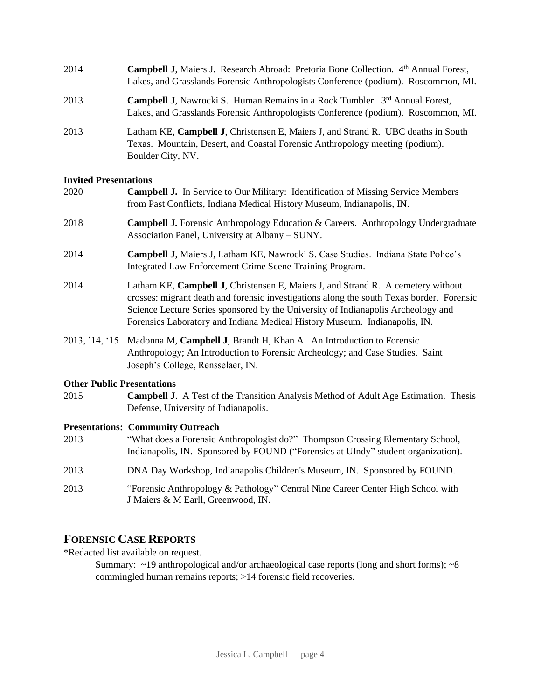| 2014 | <b>Campbell J, Maiers J. Research Abroad: Pretoria Bone Collection.</b> 4th Annual Forest,<br>Lakes, and Grasslands Forensic Anthropologists Conference (podium). Roscommon, MI.       |
|------|----------------------------------------------------------------------------------------------------------------------------------------------------------------------------------------|
| 2013 | <b>Campbell J,</b> Nawrocki S. Human Remains in a Rock Tumbler. $3rd$ Annual Forest,<br>Lakes, and Grasslands Forensic Anthropologists Conference (podium). Roscommon, MI.             |
| 2013 | Latham KE, Campbell J, Christensen E, Maiers J, and Strand R. UBC deaths in South<br>Texas. Mountain, Desert, and Coastal Forensic Anthropology meeting (podium).<br>Boulder City, NV. |

#### **Invited Presentations**

| 2020 | <b>Campbell J.</b> In Service to Our Military: Identification of Missing Service Members<br>from Past Conflicts, Indiana Medical History Museum, Indianapolis, IN.                                                                                                                                                                               |
|------|--------------------------------------------------------------------------------------------------------------------------------------------------------------------------------------------------------------------------------------------------------------------------------------------------------------------------------------------------|
| 2018 | <b>Campbell J.</b> Forensic Anthropology Education & Careers. Anthropology Undergraduate<br>Association Panel, University at Albany – SUNY.                                                                                                                                                                                                      |
| 2014 | <b>Campbell J, Maiers J, Latham KE, Nawrocki S. Case Studies. Indiana State Police's</b><br>Integrated Law Enforcement Crime Scene Training Program.                                                                                                                                                                                             |
| 2014 | Latham KE, Campbell J, Christensen E, Maiers J, and Strand R. A cemetery without<br>crosses: migrant death and forensic investigations along the south Texas border. Forensic<br>Science Lecture Series sponsored by the University of Indianapolis Archeology and<br>Forensics Laboratory and Indiana Medical History Museum. Indianapolis, IN. |
|      | 2013, '14, '15 Madonna M, Campbell J, Brandt H, Khan A. An Introduction to Forensic<br>Anthropology; An Introduction to Forensic Archeology; and Case Studies. Saint<br>Joseph's College, Rensselaer, IN.                                                                                                                                        |
|      |                                                                                                                                                                                                                                                                                                                                                  |

#### **Other Public Presentations**

2015 **Campbell J**. A Test of the Transition Analysis Method of Adult Age Estimation. Thesis Defense, University of Indianapolis.

#### **Presentations: Community Outreach**

- 2013 "What does a Forensic Anthropologist do?" Thompson Crossing Elementary School, Indianapolis, IN. Sponsored by FOUND ("Forensics at UIndy" student organization).
- 2013 DNA Day Workshop, Indianapolis Children's Museum, IN. Sponsored by FOUND.
- 2013 "Forensic Anthropology & Pathology" Central Nine Career Center High School with J Maiers & M Earll, Greenwood, IN.

# **FORENSIC CASE REPORTS**

\*Redacted list available on request.

Summary: ~19 anthropological and/or archaeological case reports (long and short forms); ~8 commingled human remains reports; >14 forensic field recoveries.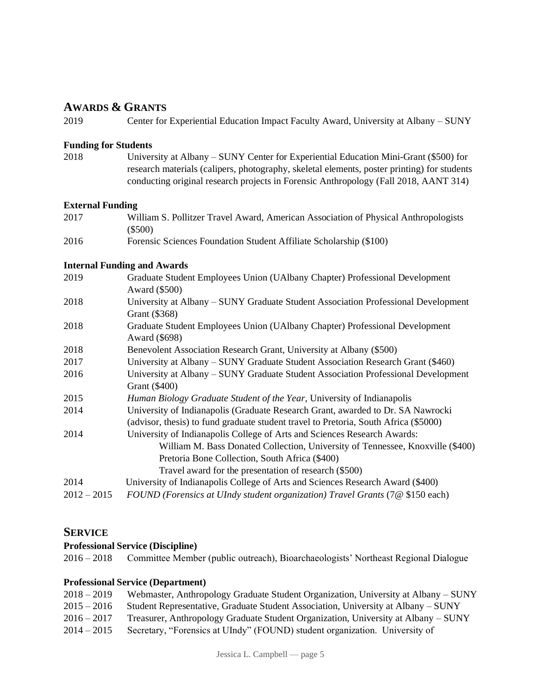## **AWARDS & GRANTS**

2019 Center for Experiential Education Impact Faculty Award, University at Albany – SUNY

#### **Funding for Students**

2018 University at Albany – SUNY Center for Experiential Education Mini-Grant (\$500) for research materials (calipers, photography, skeletal elements, poster printing) for students conducting original research projects in Forensic Anthropology (Fall 2018, AANT 314)

#### **External Funding**

| 2017 | William S. Pollitzer Travel Award, American Association of Physical Anthropologists |
|------|-------------------------------------------------------------------------------------|
|      | $(\$500)$                                                                           |

2016 Forensic Sciences Foundation Student Affiliate Scholarship (\$100)

#### **Internal Funding and Awards**

| 2019          | Graduate Student Employees Union (UAlbany Chapter) Professional Development<br>Award (\$500)                                                                                                                                                                          |
|---------------|-----------------------------------------------------------------------------------------------------------------------------------------------------------------------------------------------------------------------------------------------------------------------|
| 2018          | University at Albany – SUNY Graduate Student Association Professional Development<br>Grant (\$368)                                                                                                                                                                    |
| 2018          | Graduate Student Employees Union (UAlbany Chapter) Professional Development<br>Award (\$698)                                                                                                                                                                          |
| 2018          | Benevolent Association Research Grant, University at Albany (\$500)                                                                                                                                                                                                   |
| 2017          | University at Albany – SUNY Graduate Student Association Research Grant (\$460)                                                                                                                                                                                       |
| 2016          | University at Albany – SUNY Graduate Student Association Professional Development<br>Grant (\$400)                                                                                                                                                                    |
| 2015          | Human Biology Graduate Student of the Year, University of Indianapolis                                                                                                                                                                                                |
| 2014          | University of Indianapolis (Graduate Research Grant, awarded to Dr. SA Nawrocki<br>(advisor, thesis) to fund graduate student travel to Pretoria, South Africa (\$5000)                                                                                               |
| 2014          | University of Indianapolis College of Arts and Sciences Research Awards:<br>William M. Bass Donated Collection, University of Tennessee, Knoxville (\$400)<br>Pretoria Bone Collection, South Africa (\$400)<br>Travel award for the presentation of research (\$500) |
| 2014          | University of Indianapolis College of Arts and Sciences Research Award (\$400)                                                                                                                                                                                        |
| $2012 - 2015$ | FOUND (Forensics at UIndy student organization) Travel Grants (7@ \$150 each)                                                                                                                                                                                         |

### **SERVICE**

#### **Professional Service (Discipline)**

2016 – 2018 Committee Member (public outreach), Bioarchaeologists' Northeast Regional Dialogue

#### **Professional Service (Department)**

| $2018 - 2019$ | Webmaster, Anthropology Graduate Student Organization, University at Albany – SUNY |
|---------------|------------------------------------------------------------------------------------|
| $2015 - 2016$ | Student Representative, Graduate Student Association, University at Albany – SUNY  |
| $2016 - 2017$ | Treasurer, Anthropology Graduate Student Organization, University at Albany – SUNY |
| $2014 - 2015$ | Secretary, "Forensics at UIndy" (FOUND) student organization. University of        |